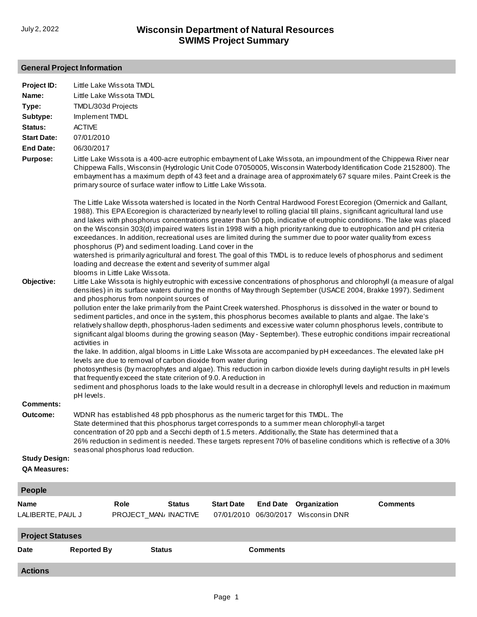# **General Project Information**

| <b>Actions</b>                               |                                                                                                                                                                                                                                                                                                                                                                                                                                            |                       |                   |                 |                                                                                                                                                                                                                                                                                                                                                                                                                                                                                                                                                                                                                                                                                                                                                                                                                                                                                                                                                                                                                                                                                                                                                                                                                               |                                                                                                                                                                                                                                                                                                                                                                                                                                                                                                                                                                                                                            |
|----------------------------------------------|--------------------------------------------------------------------------------------------------------------------------------------------------------------------------------------------------------------------------------------------------------------------------------------------------------------------------------------------------------------------------------------------------------------------------------------------|-----------------------|-------------------|-----------------|-------------------------------------------------------------------------------------------------------------------------------------------------------------------------------------------------------------------------------------------------------------------------------------------------------------------------------------------------------------------------------------------------------------------------------------------------------------------------------------------------------------------------------------------------------------------------------------------------------------------------------------------------------------------------------------------------------------------------------------------------------------------------------------------------------------------------------------------------------------------------------------------------------------------------------------------------------------------------------------------------------------------------------------------------------------------------------------------------------------------------------------------------------------------------------------------------------------------------------|----------------------------------------------------------------------------------------------------------------------------------------------------------------------------------------------------------------------------------------------------------------------------------------------------------------------------------------------------------------------------------------------------------------------------------------------------------------------------------------------------------------------------------------------------------------------------------------------------------------------------|
| Date                                         | <b>Reported By</b>                                                                                                                                                                                                                                                                                                                                                                                                                         | <b>Status</b>         |                   | <b>Comments</b> |                                                                                                                                                                                                                                                                                                                                                                                                                                                                                                                                                                                                                                                                                                                                                                                                                                                                                                                                                                                                                                                                                                                                                                                                                               |                                                                                                                                                                                                                                                                                                                                                                                                                                                                                                                                                                                                                            |
| LALIBERTE, PAUL J<br><b>Project Statuses</b> |                                                                                                                                                                                                                                                                                                                                                                                                                                            | PROJECT_MAN/ INACTIVE | 07/01/2010        | 06/30/2017      | Wisconsin DNR                                                                                                                                                                                                                                                                                                                                                                                                                                                                                                                                                                                                                                                                                                                                                                                                                                                                                                                                                                                                                                                                                                                                                                                                                 |                                                                                                                                                                                                                                                                                                                                                                                                                                                                                                                                                                                                                            |
| <b>Name</b>                                  | Role                                                                                                                                                                                                                                                                                                                                                                                                                                       | <b>Status</b>         | <b>Start Date</b> | <b>End Date</b> | Organization                                                                                                                                                                                                                                                                                                                                                                                                                                                                                                                                                                                                                                                                                                                                                                                                                                                                                                                                                                                                                                                                                                                                                                                                                  | <b>Comments</b>                                                                                                                                                                                                                                                                                                                                                                                                                                                                                                                                                                                                            |
| <b>People</b>                                |                                                                                                                                                                                                                                                                                                                                                                                                                                            |                       |                   |                 |                                                                                                                                                                                                                                                                                                                                                                                                                                                                                                                                                                                                                                                                                                                                                                                                                                                                                                                                                                                                                                                                                                                                                                                                                               |                                                                                                                                                                                                                                                                                                                                                                                                                                                                                                                                                                                                                            |
| <b>QA Measures:</b>                          |                                                                                                                                                                                                                                                                                                                                                                                                                                            |                       |                   |                 |                                                                                                                                                                                                                                                                                                                                                                                                                                                                                                                                                                                                                                                                                                                                                                                                                                                                                                                                                                                                                                                                                                                                                                                                                               |                                                                                                                                                                                                                                                                                                                                                                                                                                                                                                                                                                                                                            |
| <b>Study Design:</b>                         |                                                                                                                                                                                                                                                                                                                                                                                                                                            |                       |                   |                 |                                                                                                                                                                                                                                                                                                                                                                                                                                                                                                                                                                                                                                                                                                                                                                                                                                                                                                                                                                                                                                                                                                                                                                                                                               |                                                                                                                                                                                                                                                                                                                                                                                                                                                                                                                                                                                                                            |
|                                              | seasonal phosphorus load reduction.                                                                                                                                                                                                                                                                                                                                                                                                        |                       |                   |                 |                                                                                                                                                                                                                                                                                                                                                                                                                                                                                                                                                                                                                                                                                                                                                                                                                                                                                                                                                                                                                                                                                                                                                                                                                               | 26% reduction in sediment is needed. These targets represent 70% of baseline conditions which is reflective of a 30%                                                                                                                                                                                                                                                                                                                                                                                                                                                                                                       |
|                                              |                                                                                                                                                                                                                                                                                                                                                                                                                                            |                       |                   |                 | concentration of 20 ppb and a Secchi depth of 1.5 meters. Additionally, the State has determined that a                                                                                                                                                                                                                                                                                                                                                                                                                                                                                                                                                                                                                                                                                                                                                                                                                                                                                                                                                                                                                                                                                                                       |                                                                                                                                                                                                                                                                                                                                                                                                                                                                                                                                                                                                                            |
| Outcome:                                     | WDNR has established 48 ppb phosphorus as the numeric target for this TMDL. The                                                                                                                                                                                                                                                                                                                                                            |                       |                   |                 | State determined that this phosphorus target corresponds to a summer mean chlorophyll-a target                                                                                                                                                                                                                                                                                                                                                                                                                                                                                                                                                                                                                                                                                                                                                                                                                                                                                                                                                                                                                                                                                                                                |                                                                                                                                                                                                                                                                                                                                                                                                                                                                                                                                                                                                                            |
| <b>Comments:</b>                             |                                                                                                                                                                                                                                                                                                                                                                                                                                            |                       |                   |                 |                                                                                                                                                                                                                                                                                                                                                                                                                                                                                                                                                                                                                                                                                                                                                                                                                                                                                                                                                                                                                                                                                                                                                                                                                               |                                                                                                                                                                                                                                                                                                                                                                                                                                                                                                                                                                                                                            |
| Objective:                                   | primary source of surface water inflow to Little Lake Wissota.<br>phosphorus (P) and sediment loading. Land cover in the<br>loading and decrease the extent and severity of summer algal<br>blooms in Little Lake Wissota.<br>and phosphorus from nonpoint sources of<br>activities in<br>levels are due to removal of carbon dioxide from water during<br>that frequently exceed the state criterion of 9.0. A reduction in<br>pH levels. |                       |                   |                 | The Little Lake Wissota watershed is located in the North Central Hardwood Forest Ecoregion (Omernick and Gallant,<br>1988). This EPA Ecoregion is characterized by nearly level to rolling glacial till plains, significant agricultural land use<br>on the Wisconsin 303(d) impaired waters list in 1998 with a high priority ranking due to eutrophication and pH criteria<br>exceedances. In addition, recreational uses are limited during the summer due to poor water quality from excess<br>watershed is primarily agricultural and forest. The goal of this TMDL is to reduce levels of phosphorus and sediment<br>densities) in its surface waters during the months of May through September (USACE 2004, Brakke 1997). Sediment<br>pollution enter the lake primarily from the Paint Creek watershed. Phosphorus is dissolved in the water or bound to<br>sediment particles, and once in the system, this phosphorus becomes available to plants and algae. The lake's<br>relatively shallow depth, phosphorus-laden sediments and excessive water column phosphorus levels, contribute to<br>the lake. In addition, algal blooms in Little Lake Wissota are accompanied by pH exceedances. The elevated lake pH | and lakes with phosphorus concentrations greater than 50 ppb, indicative of eutrophic conditions. The lake was placed<br>Little Lake Wissota is highly eutrophic with excessive concentrations of phosphorus and chlorophyll (a measure of algal<br>significant algal blooms during the growing season (May - September). These eutrophic conditions impair recreational<br>photosynthesis (by macrophytes and algae). This reduction in carbon dioxide levels during daylight results in pH levels<br>sediment and phosphorus loads to the lake would result in a decrease in chlorophyll levels and reduction in maximum |
| <b>Purpose:</b>                              |                                                                                                                                                                                                                                                                                                                                                                                                                                            |                       |                   |                 | Little Lake Wissota is a 400-acre eutrophic embayment of Lake Wissota, an impoundment of the Chippewa River near                                                                                                                                                                                                                                                                                                                                                                                                                                                                                                                                                                                                                                                                                                                                                                                                                                                                                                                                                                                                                                                                                                              | Chippewa Falls, Wisconsin (Hydrologic Unit Code 07050005, Wisconsin Waterbody Identification Code 2152800). The<br>embayment has a maximum depth of 43 feet and a drainage area of approximately 67 square miles. Paint Creek is the                                                                                                                                                                                                                                                                                                                                                                                       |
| <b>End Date:</b>                             | 06/30/2017                                                                                                                                                                                                                                                                                                                                                                                                                                 |                       |                   |                 |                                                                                                                                                                                                                                                                                                                                                                                                                                                                                                                                                                                                                                                                                                                                                                                                                                                                                                                                                                                                                                                                                                                                                                                                                               |                                                                                                                                                                                                                                                                                                                                                                                                                                                                                                                                                                                                                            |
| <b>Start Date:</b>                           | 07/01/2010                                                                                                                                                                                                                                                                                                                                                                                                                                 |                       |                   |                 |                                                                                                                                                                                                                                                                                                                                                                                                                                                                                                                                                                                                                                                                                                                                                                                                                                                                                                                                                                                                                                                                                                                                                                                                                               |                                                                                                                                                                                                                                                                                                                                                                                                                                                                                                                                                                                                                            |
| Status:                                      | <b>ACTIVE</b>                                                                                                                                                                                                                                                                                                                                                                                                                              |                       |                   |                 |                                                                                                                                                                                                                                                                                                                                                                                                                                                                                                                                                                                                                                                                                                                                                                                                                                                                                                                                                                                                                                                                                                                                                                                                                               |                                                                                                                                                                                                                                                                                                                                                                                                                                                                                                                                                                                                                            |
| Type:<br>Subtype:                            | TMDL/303d Projects<br>Implement TMDL                                                                                                                                                                                                                                                                                                                                                                                                       |                       |                   |                 |                                                                                                                                                                                                                                                                                                                                                                                                                                                                                                                                                                                                                                                                                                                                                                                                                                                                                                                                                                                                                                                                                                                                                                                                                               |                                                                                                                                                                                                                                                                                                                                                                                                                                                                                                                                                                                                                            |
| Name:                                        | Little Lake Wissota TMDL                                                                                                                                                                                                                                                                                                                                                                                                                   |                       |                   |                 |                                                                                                                                                                                                                                                                                                                                                                                                                                                                                                                                                                                                                                                                                                                                                                                                                                                                                                                                                                                                                                                                                                                                                                                                                               |                                                                                                                                                                                                                                                                                                                                                                                                                                                                                                                                                                                                                            |
| Project ID:                                  | Little Lake Wissota TMDL                                                                                                                                                                                                                                                                                                                                                                                                                   |                       |                   |                 |                                                                                                                                                                                                                                                                                                                                                                                                                                                                                                                                                                                                                                                                                                                                                                                                                                                                                                                                                                                                                                                                                                                                                                                                                               |                                                                                                                                                                                                                                                                                                                                                                                                                                                                                                                                                                                                                            |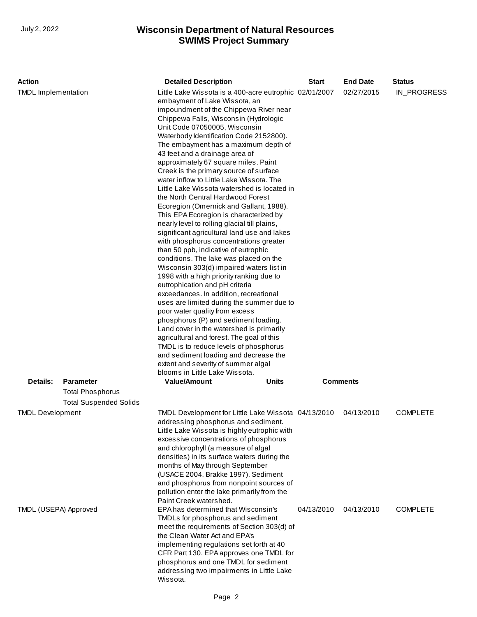| <b>Action</b>                                    |                               | <b>Detailed Description</b>                                                                                                                                                                                                                                                                                                                                                                                                                                                                                                                                                                                                                                                                                                                                                                                                                                                                                                                                                                                                                                                                                                                                                                                                                                                                                                                                                                                        | <b>Start</b> | <b>End Date</b>          | <b>Status</b>                      |
|--------------------------------------------------|-------------------------------|--------------------------------------------------------------------------------------------------------------------------------------------------------------------------------------------------------------------------------------------------------------------------------------------------------------------------------------------------------------------------------------------------------------------------------------------------------------------------------------------------------------------------------------------------------------------------------------------------------------------------------------------------------------------------------------------------------------------------------------------------------------------------------------------------------------------------------------------------------------------------------------------------------------------------------------------------------------------------------------------------------------------------------------------------------------------------------------------------------------------------------------------------------------------------------------------------------------------------------------------------------------------------------------------------------------------------------------------------------------------------------------------------------------------|--------------|--------------------------|------------------------------------|
| <b>TMDL</b> Implementation                       |                               | Little Lake Wissota is a 400-acre eutrophic 02/01/2007<br>embayment of Lake Wissota, an<br>impoundment of the Chippewa River near<br>Chippewa Falls, Wisconsin (Hydrologic<br>Unit Code 07050005, Wisconsin<br>Waterbody Identification Code 2152800).<br>The embayment has a maximum depth of<br>43 feet and a drainage area of<br>approximately 67 square miles. Paint<br>Creek is the primary source of surface<br>water inflow to Little Lake Wissota. The<br>Little Lake Wissota watershed is located in<br>the North Central Hardwood Forest<br>Ecoregion (Omernick and Gallant, 1988).<br>This EPA Ecoregion is characterized by<br>nearly level to rolling glacial till plains,<br>significant agricultural land use and lakes<br>with phosphorus concentrations greater<br>than 50 ppb, indicative of eutrophic<br>conditions. The lake was placed on the<br>Wisconsin 303(d) impaired waters list in<br>1998 with a high priority ranking due to<br>eutrophication and pH criteria<br>exceedances. In addition, recreational<br>uses are limited during the summer due to<br>poor water quality from excess<br>phosphorus (P) and sediment loading.<br>Land cover in the watershed is primarily<br>agricultural and forest. The goal of this<br>TMDL is to reduce levels of phosphorus<br>and sediment loading and decrease the<br>extent and severity of summer algal<br>blooms in Little Lake Wissota. |              | 02/27/2015               | IN_PROGRESS                        |
| Details:                                         | <b>Parameter</b>              | <b>Value/Amount</b><br>Units                                                                                                                                                                                                                                                                                                                                                                                                                                                                                                                                                                                                                                                                                                                                                                                                                                                                                                                                                                                                                                                                                                                                                                                                                                                                                                                                                                                       |              | <b>Comments</b>          |                                    |
|                                                  | <b>Total Phosphorus</b>       |                                                                                                                                                                                                                                                                                                                                                                                                                                                                                                                                                                                                                                                                                                                                                                                                                                                                                                                                                                                                                                                                                                                                                                                                                                                                                                                                                                                                                    |              |                          |                                    |
|                                                  | <b>Total Suspended Solids</b> |                                                                                                                                                                                                                                                                                                                                                                                                                                                                                                                                                                                                                                                                                                                                                                                                                                                                                                                                                                                                                                                                                                                                                                                                                                                                                                                                                                                                                    |              |                          |                                    |
| <b>TMDL Development</b><br>TMDL (USEPA) Approved |                               | TMDL Development for Little Lake Wissota 04/13/2010<br>addressing phosphorus and sediment.<br>Little Lake Wissota is highly eutrophic with<br>excessive concentrations of phosphorus<br>and chlorophyll (a measure of algal<br>densities) in its surface waters during the<br>months of May through September<br>(USACE 2004, Brakke 1997). Sediment<br>and phosphorus from nonpoint sources of<br>pollution enter the lake primarily from the<br>Paint Creek watershed.<br>EPA has determined that Wisconsin's<br>TMDLs for phosphorus and sediment<br>meet the requirements of Section 303(d) of                                                                                                                                                                                                                                                                                                                                                                                                                                                                                                                                                                                                                                                                                                                                                                                                                 | 04/13/2010   | 04/13/2010<br>04/13/2010 | <b>COMPLETE</b><br><b>COMPLETE</b> |
|                                                  |                               | the Clean Water Act and EPA's<br>implementing regulations set forth at 40<br>CFR Part 130. EPA approves one TMDL for<br>phosphorus and one TMDL for sediment<br>addressing two impairments in Little Lake<br>Wissota.                                                                                                                                                                                                                                                                                                                                                                                                                                                                                                                                                                                                                                                                                                                                                                                                                                                                                                                                                                                                                                                                                                                                                                                              |              |                          |                                    |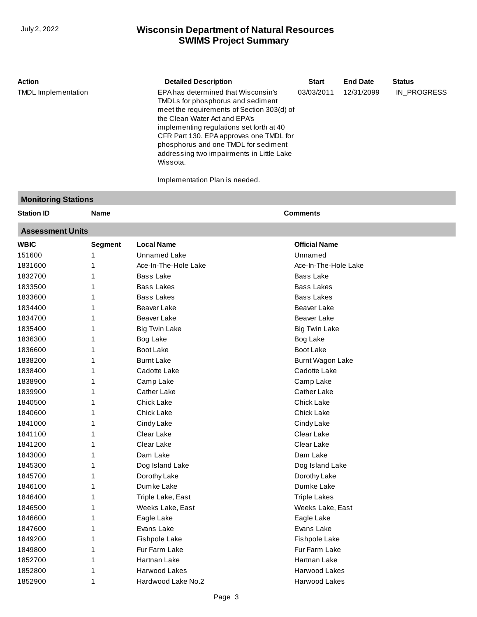| <b>Action</b>              | <b>Detailed Description</b>                                                                                                                                                                                                                                                                                                                     | <b>Start</b> | <b>End Date</b> | <b>Status</b> |
|----------------------------|-------------------------------------------------------------------------------------------------------------------------------------------------------------------------------------------------------------------------------------------------------------------------------------------------------------------------------------------------|--------------|-----------------|---------------|
| <b>TMDL</b> Implementation | EPA has determined that Wisconsin's<br>TMDLs for phosphorus and sediment<br>meet the requirements of Section 303(d) of<br>the Clean Water Act and EPA's<br>implementing regulations set forth at 40<br>CFR Part 130. EPA approves one TMDL for<br>phosphorus and one TMDL for sediment<br>addressing two impairments in Little Lake<br>Wissota. | 03/03/2011   | 12/31/2099      | IN PROGRESS   |
|                            | Implementation Plan is needed.                                                                                                                                                                                                                                                                                                                  |              |                 |               |

#### **Monitoring Stations**

1852700 1852800 1852900 1 1 1 Hartnan Lake Harwood Lakes [Hardwood Lake No.2](http://prodoasint.dnr.wi.gov/wadrs/viewUnit.do?id=18654)

| <b>Station ID</b>       | Name           |                      | <b>Comments</b>      |  |  |  |
|-------------------------|----------------|----------------------|----------------------|--|--|--|
| <b>Assessment Units</b> |                |                      |                      |  |  |  |
| <b>WBIC</b>             | <b>Segment</b> | <b>Local Name</b>    | <b>Official Name</b> |  |  |  |
| 151600                  |                | Unnamed Lake         | Unnamed              |  |  |  |
| 1831600                 |                | Ace-In-The-Hole Lake | Ace-In-The-Hole Lake |  |  |  |
| 1832700                 |                | <b>Bass Lake</b>     | <b>Bass Lake</b>     |  |  |  |
| 1833500                 |                | <b>Bass Lakes</b>    | <b>Bass Lakes</b>    |  |  |  |
| 1833600                 |                | <b>Bass Lakes</b>    | <b>Bass Lakes</b>    |  |  |  |
| 1834400                 |                | Beaver Lake          | Beaver Lake          |  |  |  |
| 1834700                 |                | <b>Beaver Lake</b>   | Beaver Lake          |  |  |  |
| 1835400                 |                | <b>Big Twin Lake</b> | <b>Big Twin Lake</b> |  |  |  |
| 1836300                 |                | Bog Lake             | Bog Lake             |  |  |  |
| 1836600                 |                | Boot Lake            | Boot Lake            |  |  |  |
| 1838200                 |                | <b>Burnt Lake</b>    | Burnt Wagon Lake     |  |  |  |
| 1838400                 |                | Cadotte Lake         | Cadotte Lake         |  |  |  |
| 1838900                 |                | Camp Lake            | Camp Lake            |  |  |  |
| 1839900                 |                | <b>Cather Lake</b>   | <b>Cather Lake</b>   |  |  |  |
| 1840500                 |                | <b>Chick Lake</b>    | <b>Chick Lake</b>    |  |  |  |
| 1840600                 |                | <b>Chick Lake</b>    | <b>Chick Lake</b>    |  |  |  |
| 1841000                 |                | Cindy Lake           | Cindy Lake           |  |  |  |
| 1841100                 |                | Clear Lake           | Clear Lake           |  |  |  |
| 1841200                 |                | Clear Lake           | Clear Lake           |  |  |  |
| 1843000                 |                | Dam Lake             | Dam Lake             |  |  |  |
| 1845300                 |                | Dog Island Lake      | Dog Island Lake      |  |  |  |
| 1845700                 |                | Dorothy Lake         | Dorothy Lake         |  |  |  |
| 1846100                 |                | Dumke Lake           | Dumke Lake           |  |  |  |
| 1846400                 |                | Triple Lake, East    | <b>Triple Lakes</b>  |  |  |  |
| 1846500                 |                | Weeks Lake, East     | Weeks Lake, East     |  |  |  |
| 1846600                 |                | Eagle Lake           | Eagle Lake           |  |  |  |
| 1847600                 | 1              | Evans Lake           | Evans Lake           |  |  |  |
| 1849200                 |                | <b>Fishpole Lake</b> | <b>Fishpole Lake</b> |  |  |  |
| 1849800                 | 1              | Fur Farm Lake        | Fur Farm Lake        |  |  |  |

[Hartnan Lake](http://prodoasint.dnr.wi.gov/wadrs/viewUnit.do?id=25598) [Harwood Lakes](http://prodoasint.dnr.wi.gov/wadrs/viewUnit.do?id=426779) Harwood Lakes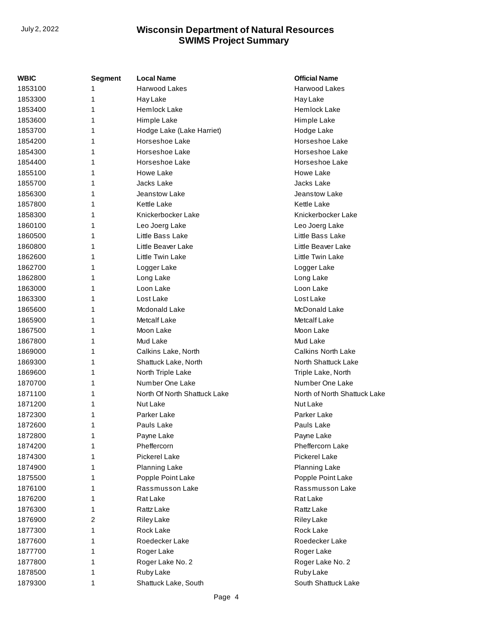| WBIC    | <b>Segment</b> | <b>Local Name</b>            | <b>Official Name</b>         |
|---------|----------------|------------------------------|------------------------------|
| 1853100 | 1              | Harwood Lakes                | Harwood Lakes                |
| 1853300 | 1              | Hay Lake                     | Hay Lake                     |
| 1853400 | 1              | <b>Hemlock Lake</b>          | Hemlock Lake                 |
| 1853600 | 1              | Himple Lake                  | Himple Lake                  |
| 1853700 | 1              | Hodge Lake (Lake Harriet)    | Hodge Lake                   |
| 1854200 | 1              | Horseshoe Lake               | Horseshoe Lake               |
| 1854300 | 1              | Horseshoe Lake               | Horseshoe Lake               |
| 1854400 | 1              | Horseshoe Lake               | Horseshoe Lake               |
| 1855100 | 1              | Howe Lake                    | Howe Lake                    |
| 1855700 | 1              | Jacks Lake                   | Jacks Lake                   |
| 1856300 | 1              | Jeanstow Lake                | Jeanstow Lake                |
| 1857800 | 1              | <b>Kettle Lake</b>           | Kettle Lake                  |
| 1858300 | 1              | Knickerbocker Lake           | Knickerbocker Lake           |
| 1860100 | 1              | Leo Joerg Lake               | Leo Joerg Lake               |
| 1860500 | 1              | Little Bass Lake             | Little Bass Lake             |
| 1860800 | 1              | Little Beaver Lake           | Little Beaver Lake           |
| 1862600 | 1              | Little Twin Lake             | Little Twin Lake             |
| 1862700 | 1              | Logger Lake                  | Logger Lake                  |
| 1862800 | 1              | Long Lake                    | Long Lake                    |
| 1863000 | 1              | Loon Lake                    | Loon Lake                    |
| 1863300 | 1              | Lost Lake                    | Lost Lake                    |
| 1865600 | 1              | Mcdonald Lake                | McDonald Lake                |
| 1865900 | 1              | Metcalf Lake                 | Metcalf Lake                 |
| 1867500 | 1              | Moon Lake                    | Moon Lake                    |
| 1867800 | 1              | Mud Lake                     | Mud Lake                     |
| 1869000 | 1              | Calkins Lake, North          | <b>Calkins North Lake</b>    |
| 1869300 | 1              | Shattuck Lake, North         | North Shattuck Lake          |
| 1869600 | 1              | North Triple Lake            | Triple Lake, North           |
| 1870700 | 1              | Number One Lake              | Number One Lake              |
| 1871100 | 1              | North Of North Shattuck Lake | North of North Shattuck Lake |
| 1871200 | 1              | Nut Lake                     | Nut Lake                     |
| 1872300 | 1              | Parker Lake                  | Parker Lake                  |
| 1872600 | 1              | Pauls Lake                   | Pauls Lake                   |
| 1872800 |                | Payne Lake                   | Payne Lake                   |
| 1874200 | 1              | Pheffercorn                  | Pheffercorn Lake             |
| 1874300 | 1              | Pickerel Lake                | Pickerel Lake                |
| 1874900 | 1              | Planning Lake                | Planning Lake                |
| 1875500 | 1              | Popple Point Lake            | Popple Point Lake            |
| 1876100 | 1              | Rassmusson Lake              | Rassmusson Lake              |
| 1876200 | 1              | Rat Lake                     | Rat Lake                     |
| 1876300 | 1              | Rattz Lake                   | Rattz Lake                   |
| 1876900 | 2              | <b>Riley Lake</b>            | <b>Riley Lake</b>            |
| 1877300 | 1              | Rock Lake                    | Rock Lake                    |
| 1877600 | 1              | Roedecker Lake               | Roedecker Lake               |
| 1877700 | 1              | Roger Lake                   | Roger Lake                   |
| 1877800 | 1              | Roger Lake No. 2             | Roger Lake No. 2             |
| 1878500 | 1              | Ruby Lake                    | Ruby Lake                    |
| 1879300 | 1              | Shattuck Lake, South         | South Shattuck Lake          |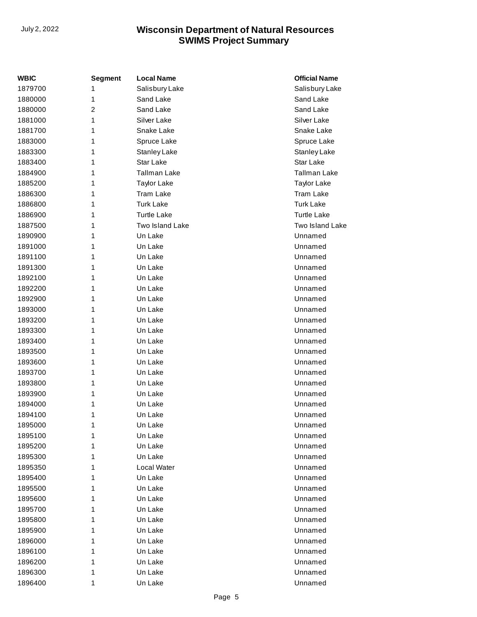| WBIC    | <b>Segment</b> | <b>Local Name</b>   | <b>Official Name</b> |
|---------|----------------|---------------------|----------------------|
| 1879700 | 1              | Salisbury Lake      | Salisbury Lake       |
| 1880000 | 1              | Sand Lake           | Sand Lake            |
| 1880000 | $\overline{2}$ | Sand Lake           | Sand Lake            |
| 1881000 | 1              | Silver Lake         | Silver Lake          |
| 1881700 | 1              | Snake Lake          | Snake Lake           |
| 1883000 | 1              | Spruce Lake         | Spruce Lake          |
| 1883300 | 1              | Stanley Lake        | Stanley Lake         |
| 1883400 | 1              | Star Lake           | Star Lake            |
| 1884900 | 1              | <b>Tallman Lake</b> | <b>Tallman Lake</b>  |
| 1885200 | 1              | <b>Taylor Lake</b>  | <b>Taylor Lake</b>   |
| 1886300 | 1              | <b>Tram Lake</b>    | Tram Lake            |
| 1886800 | 1              | <b>Turk Lake</b>    | <b>Turk Lake</b>     |
| 1886900 | 1              | <b>Turtle Lake</b>  | <b>Turtle Lake</b>   |
| 1887500 | 1              | Two Island Lake     | Two Island Lake      |
| 1890900 | 1              | Un Lake             | Unnamed              |
| 1891000 | 1              | Un Lake             | Unnamed              |
| 1891100 | 1              | Un Lake             | Unnamed              |
| 1891300 | 1              | Un Lake             | Unnamed              |
| 1892100 | 1              | Un Lake             | Unnamed              |
| 1892200 | 1              | Un Lake             | Unnamed              |
| 1892900 | 1              | Un Lake             | Unnamed              |
| 1893000 | 1              | Un Lake             | Unnamed              |
| 1893200 | 1              | Un Lake             | Unnamed              |
| 1893300 | 1              | Un Lake             | Unnamed              |
| 1893400 | 1              | Un Lake             | Unnamed              |
| 1893500 | 1              | Un Lake             | Unnamed              |
| 1893600 | 1              | Un Lake             | Unnamed              |
| 1893700 | 1              | Un Lake             | Unnamed              |
| 1893800 | 1              | Un Lake             | Unnamed              |
| 1893900 | 1              | Un Lake             | Unnamed              |
| 1894000 | 1              | Un Lake             | Unnamed              |
| 1894100 | 1              | Un Lake             | Unnamed              |
| 1895000 | 1              | Un Lake             | Unnamed              |
| 1895100 | 1              | Un Lake             | Unnamed              |
| 1895200 | 1              | Un Lake             | Unnamed              |
| 1895300 | 1              | Un Lake             | Unnamed              |
| 1895350 | 1              | Local Water         | Unnamed              |
| 1895400 | 1              | Un Lake             | Unnamed              |
| 1895500 | 1              | Un Lake             | Unnamed              |
| 1895600 | 1              | Un Lake             | Unnamed              |
| 1895700 | 1              | Un Lake             | Unnamed              |
| 1895800 | 1              | Un Lake             | Unnamed              |
| 1895900 | 1              | Un Lake             | Unnamed              |
| 1896000 | 1              | Un Lake             | Unnamed              |
| 1896100 | 1              | Un Lake             | Unnamed              |
| 1896200 | 1              | Un Lake             | Unnamed              |
| 1896300 | 1              | Un Lake             | Unnamed              |
| 1896400 | 1              | Un Lake             | Unnamed              |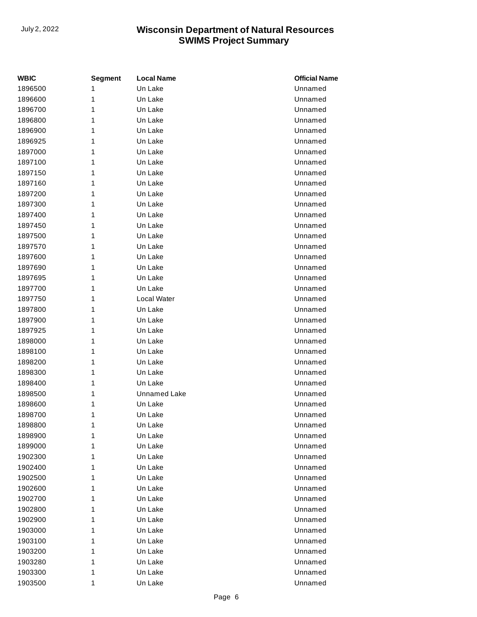| WBIC    | <b>Segment</b> | <b>Local Name</b>   | <b>Official Name</b> |
|---------|----------------|---------------------|----------------------|
| 1896500 | 1              | Un Lake             | Unnamed              |
| 1896600 | 1              | Un Lake             | Unnamed              |
| 1896700 | 1              | Un Lake             | Unnamed              |
| 1896800 | 1              | Un Lake             | Unnamed              |
| 1896900 | 1              | Un Lake             | Unnamed              |
| 1896925 | 1              | Un Lake             | Unnamed              |
| 1897000 | 1              | Un Lake             | Unnamed              |
| 1897100 | 1              | Un Lake             | Unnamed              |
| 1897150 | 1              | Un Lake             | Unnamed              |
| 1897160 | 1              | Un Lake             | Unnamed              |
| 1897200 | 1              | Un Lake             | Unnamed              |
| 1897300 | 1              | Un Lake             | Unnamed              |
| 1897400 | 1              | Un Lake             | Unnamed              |
| 1897450 | 1              | Un Lake             | Unnamed              |
| 1897500 | 1              | Un Lake             | Unnamed              |
| 1897570 | 1              | Un Lake             | Unnamed              |
| 1897600 | 1              | Un Lake             | Unnamed              |
| 1897690 | 1              | Un Lake             | Unnamed              |
| 1897695 | 1              | Un Lake             | Unnamed              |
| 1897700 | 1              | Un Lake             | Unnamed              |
| 1897750 | 1              | Local Water         | Unnamed              |
| 1897800 | 1              | Un Lake             | Unnamed              |
| 1897900 | 1              | Un Lake             | Unnamed              |
| 1897925 | 1              | Un Lake             | Unnamed              |
| 1898000 | 1              | Un Lake             | Unnamed              |
| 1898100 | 1              | Un Lake             | Unnamed              |
| 1898200 | 1              | Un Lake             | Unnamed              |
| 1898300 | 1              | Un Lake             | Unnamed              |
| 1898400 | 1              | Un Lake             | Unnamed              |
| 1898500 | 1              | <b>Unnamed Lake</b> | Unnamed              |
| 1898600 | 1              | Un Lake             | Unnamed              |
| 1898700 | 1              | Un Lake             | Unnamed              |
| 1898800 | 1              | Un Lake             | Unnamed              |
| 1898900 | 1              | Un Lake             | Unnamed              |
| 1899000 | 1              | Un Lake             | Unnamed              |
| 1902300 | 1              | Un Lake             | Unnamed              |
| 1902400 | 1              | Un Lake             | Unnamed              |
| 1902500 | 1              | Un Lake             | Unnamed              |
| 1902600 | 1              | Un Lake             | Unnamed              |
| 1902700 | 1              | Un Lake             | Unnamed              |
| 1902800 | 1              | Un Lake             | Unnamed              |
| 1902900 | 1              | Un Lake             | Unnamed              |
| 1903000 | 1              | Un Lake             | Unnamed              |
| 1903100 | 1              | Un Lake             | Unnamed              |
| 1903200 | 1              | Un Lake             | Unnamed              |
| 1903280 | 1              | Un Lake             | Unnamed              |
| 1903300 | 1              | Un Lake             | Unnamed              |
| 1903500 | 1              | Un Lake             | Unnamed              |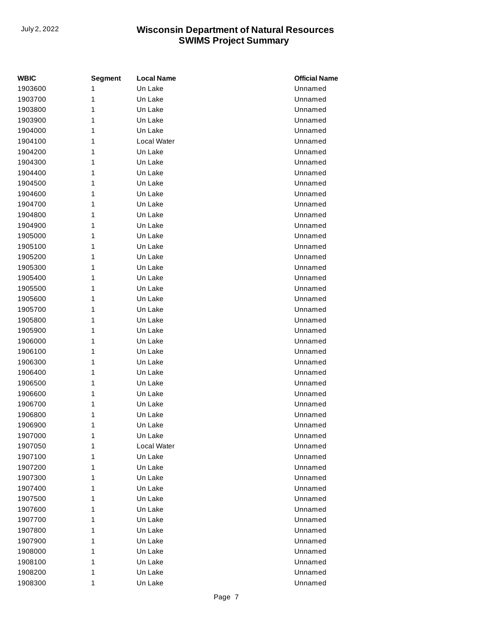| <b>WBIC</b> | <b>Segment</b> | <b>Local Name</b> | <b>Official Name</b> |
|-------------|----------------|-------------------|----------------------|
| 1903600     | 1              | Un Lake           | Unnamed              |
| 1903700     | 1              | Un Lake           | Unnamed              |
| 1903800     | 1              | Un Lake           | Unnamed              |
| 1903900     | 1              | Un Lake           | Unnamed              |
| 1904000     | 1              | Un Lake           | Unnamed              |
| 1904100     | 1              | Local Water       | Unnamed              |
| 1904200     | 1              | Un Lake           | Unnamed              |
| 1904300     | 1              | Un Lake           | Unnamed              |
| 1904400     | 1              | Un Lake           | Unnamed              |
| 1904500     | 1              | Un Lake           | Unnamed              |
| 1904600     | 1              | Un Lake           | Unnamed              |
| 1904700     | 1              | Un Lake           | Unnamed              |
| 1904800     | 1              | Un Lake           | Unnamed              |
| 1904900     | 1              | Un Lake           | Unnamed              |
| 1905000     | 1              | Un Lake           | Unnamed              |
| 1905100     | 1              | Un Lake           | Unnamed              |
| 1905200     | 1              | Un Lake           | Unnamed              |
| 1905300     | 1              | Un Lake           | Unnamed              |
| 1905400     | 1              | Un Lake           | Unnamed              |
| 1905500     | 1              | Un Lake           | Unnamed              |
| 1905600     | 1              | Un Lake           | Unnamed              |
| 1905700     | 1              | Un Lake           | Unnamed              |
| 1905800     | 1              | Un Lake           | Unnamed              |
| 1905900     | 1              | Un Lake           | Unnamed              |
| 1906000     | 1              | Un Lake           | Unnamed              |
| 1906100     | 1              | Un Lake           | Unnamed              |
| 1906300     | 1              | Un Lake           | Unnamed              |
| 1906400     | 1              | Un Lake           | Unnamed              |
| 1906500     | 1              | Un Lake           | Unnamed              |
| 1906600     | 1              | Un Lake           | Unnamed              |
| 1906700     | 1              | Un Lake           | Unnamed              |
| 1906800     | 1              | Un Lake           | Unnamed              |
| 1906900     | 1              | Un Lake           | Unnamed              |
| 1907000     | 1              | Un Lake           | Unnamed              |
| 1907050     | 1              | Local Water       | Unnamed              |
| 1907100     | 1              | Un Lake           | Unnamed              |
| 1907200     | 1              | Un Lake           | Unnamed              |
| 1907300     | 1              | Un Lake           | Unnamed              |
| 1907400     | 1              | Un Lake           | Unnamed              |
| 1907500     | 1              | Un Lake           | Unnamed              |
| 1907600     | 1              | Un Lake           | Unnamed              |
| 1907700     | 1              | Un Lake           | Unnamed              |
| 1907800     | 1              | Un Lake           | Unnamed              |
| 1907900     | 1              | Un Lake           | Unnamed              |
| 1908000     | 1              | Un Lake           | Unnamed              |
| 1908100     | 1              | Un Lake           | Unnamed              |
| 1908200     | 1              | Un Lake           | Unnamed              |
| 1908300     | 1              | Un Lake           | Unnamed              |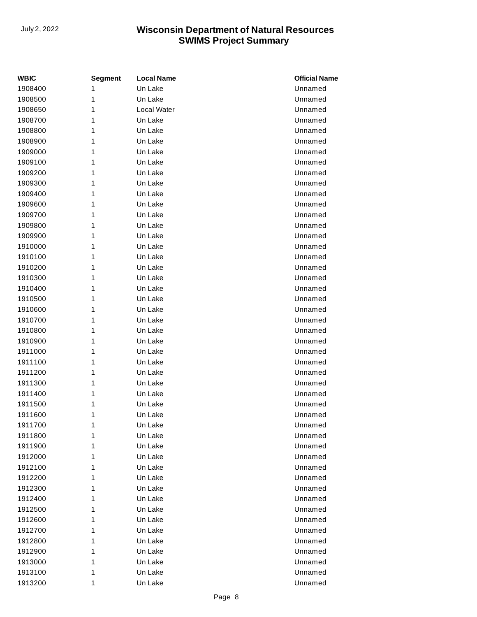| WBIC    | <b>Segment</b> | <b>Local Name</b> | <b>Official Name</b> |
|---------|----------------|-------------------|----------------------|
| 1908400 | 1              | Un Lake           | Unnamed              |
| 1908500 | 1              | Un Lake           | Unnamed              |
| 1908650 | 1              | Local Water       | Unnamed              |
| 1908700 | 1              | Un Lake           | Unnamed              |
| 1908800 | 1              | Un Lake           | Unnamed              |
| 1908900 | 1              | Un Lake           | Unnamed              |
| 1909000 | 1              | Un Lake           | Unnamed              |
| 1909100 | 1              | Un Lake           | Unnamed              |
| 1909200 | 1              | Un Lake           | Unnamed              |
| 1909300 | 1              | Un Lake           | Unnamed              |
| 1909400 | 1              | Un Lake           | Unnamed              |
| 1909600 | 1              | Un Lake           | Unnamed              |
| 1909700 | 1              | Un Lake           | Unnamed              |
| 1909800 | 1              | Un Lake           | Unnamed              |
| 1909900 | 1              | Un Lake           | Unnamed              |
| 1910000 | 1              | Un Lake           | Unnamed              |
| 1910100 | 1              | Un Lake           | Unnamed              |
| 1910200 | 1              | Un Lake           | Unnamed              |
| 1910300 | 1              | Un Lake           | Unnamed              |
| 1910400 | 1              | Un Lake           | Unnamed              |
| 1910500 | 1              | Un Lake           | Unnamed              |
| 1910600 | 1              | Un Lake           | Unnamed              |
| 1910700 | 1              | Un Lake           | Unnamed              |
| 1910800 | 1              | Un Lake           | Unnamed              |
| 1910900 | 1              | Un Lake           | Unnamed              |
| 1911000 | 1              | Un Lake           | Unnamed              |
| 1911100 | 1              | Un Lake           | Unnamed              |
| 1911200 | 1              | Un Lake           | Unnamed              |
| 1911300 | 1              | Un Lake           | Unnamed              |
| 1911400 | 1              | Un Lake           | Unnamed              |
| 1911500 | 1              | Un Lake           | Unnamed              |
| 1911600 | 1              | Un Lake           | Unnamed              |
| 1911700 | 1              | Un Lake           | Unnamed              |
| 1911800 | 1              | Un Lake           | Unnamed              |
| 1911900 | 1              | Un Lake           | Unnamed              |
| 1912000 | 1              | Un Lake           | Unnamed              |
| 1912100 | 1              | Un Lake           | Unnamed              |
| 1912200 | 1              | Un Lake           | Unnamed              |
| 1912300 | 1              | Un Lake           | Unnamed              |
| 1912400 | 1              | Un Lake           | Unnamed              |
| 1912500 | 1              | Un Lake           | Unnamed              |
| 1912600 | 1              | Un Lake           | Unnamed              |
| 1912700 | 1              | Un Lake           | Unnamed              |
| 1912800 | 1              | Un Lake           | Unnamed              |
| 1912900 | 1              | Un Lake           | Unnamed              |
| 1913000 | 1              | Un Lake           | Unnamed              |
| 1913100 | 1              | Un Lake           | Unnamed              |
| 1913200 | 1              | Un Lake           | Unnamed              |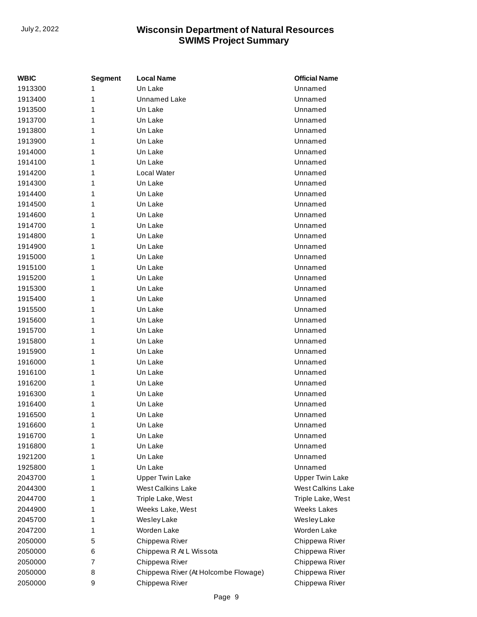| WBIC    | <b>Segment</b> | <b>Local Name</b>                    | <b>Official Name</b>     |
|---------|----------------|--------------------------------------|--------------------------|
| 1913300 | 1              | Un Lake                              | Unnamed                  |
| 1913400 | 1              | <b>Unnamed Lake</b>                  | Unnamed                  |
| 1913500 | 1              | Un Lake                              | Unnamed                  |
| 1913700 | 1              | Un Lake                              | Unnamed                  |
| 1913800 | 1              | Un Lake                              | Unnamed                  |
| 1913900 | 1              | Un Lake                              | Unnamed                  |
| 1914000 | 1              | Un Lake                              | Unnamed                  |
| 1914100 | 1              | Un Lake                              | Unnamed                  |
| 1914200 | 1              | Local Water                          | Unnamed                  |
| 1914300 | 1              | Un Lake                              | Unnamed                  |
| 1914400 | 1              | Un Lake                              | Unnamed                  |
| 1914500 | 1              | Un Lake                              | Unnamed                  |
| 1914600 | 1              | Un Lake                              | Unnamed                  |
| 1914700 | 1              | Un Lake                              | Unnamed                  |
| 1914800 | 1              | Un Lake                              | Unnamed                  |
| 1914900 | 1              | Un Lake                              | Unnamed                  |
| 1915000 | 1              | Un Lake                              | Unnamed                  |
| 1915100 | 1              | Un Lake                              | Unnamed                  |
| 1915200 | 1              | Un Lake                              | Unnamed                  |
| 1915300 | 1              | Un Lake                              | Unnamed                  |
| 1915400 | 1              | Un Lake                              | Unnamed                  |
| 1915500 | 1              | Un Lake                              | Unnamed                  |
| 1915600 | 1              | Un Lake                              | Unnamed                  |
| 1915700 | 1              | Un Lake                              | Unnamed                  |
| 1915800 | 1              | Un Lake                              | Unnamed                  |
| 1915900 | 1              | Un Lake                              | Unnamed                  |
| 1916000 | 1              | Un Lake                              | Unnamed                  |
| 1916100 | 1              | Un Lake                              | Unnamed                  |
| 1916200 | 1              | Un Lake                              | Unnamed                  |
| 1916300 | 1              | Un Lake                              | Unnamed                  |
| 1916400 | 1              | Un Lake                              | Unnamed                  |
| 1916500 | 1              | Un Lake                              | Unnamed                  |
| 1916600 | 1              | Un Lake                              | Unnamed                  |
| 1916700 | 1              | Un Lake                              | Unnamed                  |
| 1916800 | 1              | Un Lake                              | Unnamed                  |
| 1921200 | 1              | Un Lake                              | Unnamed                  |
| 1925800 | 1              | Un Lake                              | Unnamed                  |
| 2043700 | 1              | <b>Upper Twin Lake</b>               | <b>Upper Twin Lake</b>   |
| 2044300 | 1              | <b>West Calkins Lake</b>             | <b>West Calkins Lake</b> |
| 2044700 | 1              | Triple Lake, West                    | Triple Lake, West        |
| 2044900 | 1              | Weeks Lake, West                     | <b>Weeks Lakes</b>       |
| 2045700 | 1              | Wesley Lake                          | Wesley Lake              |
| 2047200 | 1              | Worden Lake                          | Worden Lake              |
| 2050000 | 5              | Chippewa River                       | Chippewa River           |
| 2050000 | 6              | Chippewa R At L Wissota              | Chippewa River           |
| 2050000 | 7              | Chippewa River                       | Chippewa River           |
| 2050000 | 8              | Chippewa River (At Holcombe Flowage) | Chippewa River           |
| 2050000 | 9              | Chippewa River                       | Chippewa River           |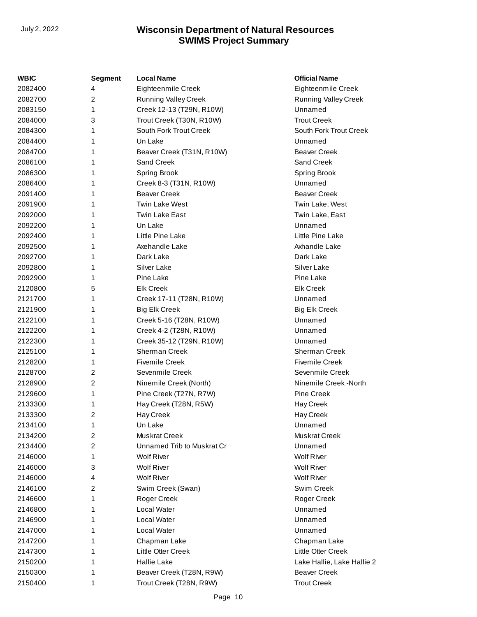| WBIC    | <b>Segment</b> | <b>Local Name</b>           | <b>Official Name</b>        |
|---------|----------------|-----------------------------|-----------------------------|
| 2082400 | 4              | Eighteenmile Creek          | Eighteenmile Creek          |
| 2082700 | 2              | <b>Running Valley Creek</b> | <b>Running Valley Creek</b> |
| 2083150 | 1              | Creek 12-13 (T29N, R10W)    | Unnamed                     |
| 2084000 | 3              | Trout Creek (T30N, R10W)    | <b>Trout Creek</b>          |
| 2084300 | 1              | South Fork Trout Creek      | South Fork Trout Creek      |
| 2084400 | 1              | Un Lake                     | Unnamed                     |
| 2084700 | 1              | Beaver Creek (T31N, R10W)   | <b>Beaver Creek</b>         |
| 2086100 | 1              | Sand Creek                  | Sand Creek                  |
| 2086300 | 1              | <b>Spring Brook</b>         | Spring Brook                |
| 2086400 | 1              | Creek 8-3 (T31N, R10W)      | Unnamed                     |
| 2091400 | 1              | <b>Beaver Creek</b>         | <b>Beaver Creek</b>         |
| 2091900 | 1              | <b>Twin Lake West</b>       | Twin Lake, West             |
| 2092000 | 1              | Twin Lake East              | Twin Lake, East             |
| 2092200 | 1              | Un Lake                     | Unnamed                     |
| 2092400 | 1              | Little Pine Lake            | Little Pine Lake            |
| 2092500 | 1              | Axehandle Lake              | Axhandle Lake               |
| 2092700 | 1              | Dark Lake                   | Dark Lake                   |
| 2092800 | 1              | Silver Lake                 | Silver Lake                 |
| 2092900 | 1              | Pine Lake                   | Pine Lake                   |
| 2120800 | 5              | <b>Elk Creek</b>            | <b>Elk Creek</b>            |
| 2121700 | 1              | Creek 17-11 (T28N, R10W)    | Unnamed                     |
| 2121900 | 1              | <b>Big Elk Creek</b>        | <b>Big Elk Creek</b>        |
| 2122100 | 1              | Creek 5-16 (T28N, R10W)     | Unnamed                     |
| 2122200 | 1              | Creek 4-2 (T28N, R10W)      | Unnamed                     |
| 2122300 | 1              | Creek 35-12 (T29N, R10W)    | Unnamed                     |
| 2125100 | 1              | <b>Sherman Creek</b>        | Sherman Creek               |
| 2128200 | 1              | <b>Fivemile Creek</b>       | <b>Fivemile Creek</b>       |
| 2128700 | $\overline{2}$ | Sevenmile Creek             | Sevenmile Creek             |
| 2128900 | 2              | Ninemile Creek (North)      | Ninemile Creek -North       |
| 2129600 | 1              | Pine Creek (T27N, R7W)      | Pine Creek                  |
| 2133300 | 1              | Hay Creek (T28N, R5W)       | Hay Creek                   |
| 2133300 | 2              | Hay Creek                   | Hay Creek                   |
| 2134100 | 1              | Un Lake                     | Unnamed                     |
| 2134200 | 2              | Muskrat Creek               | Muskrat Creek               |
| 2134400 | 2              | Unnamed Trib to Muskrat Cr  | Unnamed                     |
| 2146000 | 1              | <b>Wolf River</b>           | <b>Wolf River</b>           |
| 2146000 | 3              | <b>Wolf River</b>           | <b>Wolf River</b>           |
| 2146000 | 4              | <b>Wolf River</b>           | <b>Wolf River</b>           |
| 2146100 | 2              | Swim Creek (Swan)           | Swim Creek                  |
| 2146600 | 1              | Roger Creek                 | Roger Creek                 |
| 2146800 | 1              | Local Water                 | Unnamed                     |
| 2146900 | 1              | Local Water                 | Unnamed                     |
| 2147000 | 1              | Local Water                 | Unnamed                     |
| 2147200 | 1              | Chapman Lake                | Chapman Lake                |
| 2147300 | 1              | Little Otter Creek          | Little Otter Creek          |
| 2150200 | 1              | <b>Hallie Lake</b>          | Lake Hallie, Lake Hallie 2  |
| 2150300 | 1              | Beaver Creek (T28N, R9W)    | <b>Beaver Creek</b>         |
| 2150400 | 1              | Trout Creek (T28N, R9W)     | <b>Trout Creek</b>          |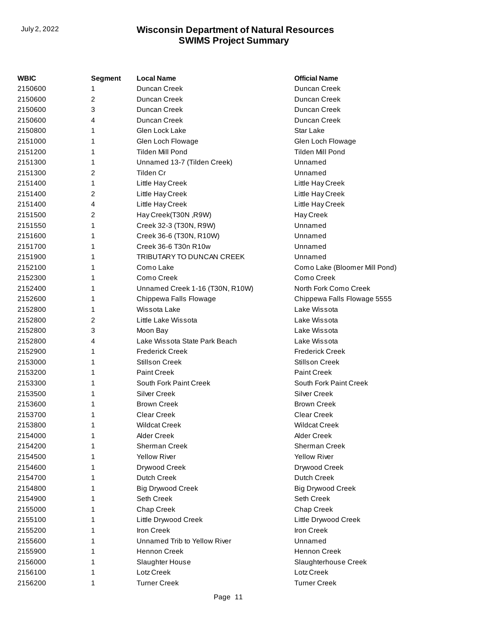| WBIC    | <b>Segment</b> | <b>Local Name</b>               | <b>Official Name</b>          |
|---------|----------------|---------------------------------|-------------------------------|
| 2150600 |                | Duncan Creek                    | Duncan Creek                  |
| 2150600 | 2              | Duncan Creek                    | Duncan Creek                  |
| 2150600 | 3              | Duncan Creek                    | Duncan Creek                  |
| 2150600 | 4              | Duncan Creek                    | Duncan Creek                  |
| 2150800 | 1              | Glen Lock Lake                  | <b>Star Lake</b>              |
| 2151000 | 1              | Glen Loch Flowage               | Glen Loch Flowage             |
| 2151200 | 1              | Tilden Mill Pond                | Tilden Mill Pond              |
| 2151300 | 1              | Unnamed 13-7 (Tilden Creek)     | Unnamed                       |
| 2151300 | 2              | Tilden Cr                       | Unnamed                       |
| 2151400 | 1              | Little Hay Creek                | Little Hay Creek              |
| 2151400 | 2              | Little Hay Creek                | Little Hay Creek              |
| 2151400 | 4              | Little Hay Creek                | Little Hay Creek              |
| 2151500 | 2              | Hay Creek(T30N, R9W)            | Hay Creek                     |
| 2151550 | 1              | Creek 32-3 (T30N, R9W)          | Unnamed                       |
| 2151600 | 1              | Creek 36-6 (T30N, R10W)         | Unnamed                       |
| 2151700 | 1              | Creek 36-6 T30n R10w            | Unnamed                       |
| 2151900 | 1              | TRIBUTARY TO DUNCAN CREEK       | Unnamed                       |
| 2152100 | 1              | Como Lake                       | Como Lake (Bloomer Mill Pond) |
| 2152300 | 1              | Como Creek                      | Como Creek                    |
| 2152400 | 1              | Unnamed Creek 1-16 (T30N, R10W) | North Fork Como Creek         |
| 2152600 | 1              | Chippewa Falls Flowage          | Chippewa Falls Flowage 5555   |
| 2152800 | 1              | Wissota Lake                    | Lake Wissota                  |
| 2152800 | 2              | Little Lake Wissota             | Lake Wissota                  |
| 2152800 | 3              | Moon Bay                        | Lake Wissota                  |
| 2152800 | 4              | Lake Wissota State Park Beach   | Lake Wissota                  |
| 2152900 | 1              | <b>Frederick Creek</b>          | <b>Frederick Creek</b>        |
| 2153000 | 1              | <b>Stillson Creek</b>           | <b>Stillson Creek</b>         |
| 2153200 | 1              | <b>Paint Creek</b>              | <b>Paint Creek</b>            |
| 2153300 | 1              | South Fork Paint Creek          | South Fork Paint Creek        |
| 2153500 | 1              | <b>Silver Creek</b>             | <b>Silver Creek</b>           |
| 2153600 | 1              | <b>Brown Creek</b>              | <b>Brown Creek</b>            |
| 2153700 | 1              | <b>Clear Creek</b>              | <b>Clear Creek</b>            |
| 2153800 | 1              | Wildcat Creek                   | <b>Wildcat Creek</b>          |
| 2154000 | 1              | <b>Alder Creek</b>              | <b>Alder Creek</b>            |
| 2154200 |                | Sherman Creek                   | Sherman Creek                 |
| 2154500 |                | <b>Yellow River</b>             | <b>Yellow River</b>           |
| 2154600 |                | Drywood Creek                   | Drywood Creek                 |
| 2154700 | 1              | Dutch Creek                     | Dutch Creek                   |
| 2154800 | 1              | <b>Big Drywood Creek</b>        | <b>Big Drywood Creek</b>      |
| 2154900 | 1              | Seth Creek                      | Seth Creek                    |
| 2155000 |                | Chap Creek                      | Chap Creek                    |
| 2155100 | 1              | Little Drywood Creek            | Little Drywood Creek          |
| 2155200 | 1              | Iron Creek                      | Iron Creek                    |
| 2155600 |                | Unnamed Trib to Yellow River    | Unnamed                       |
| 2155900 |                | <b>Hennon Creek</b>             | Hennon Creek                  |
| 2156000 | 1              | Slaughter House                 | Slaughterhouse Creek          |
| 2156100 | 1              | Lotz Creek                      | Lotz Creek                    |
| 2156200 | 1              | <b>Turner Creek</b>             | <b>Turner Creek</b>           |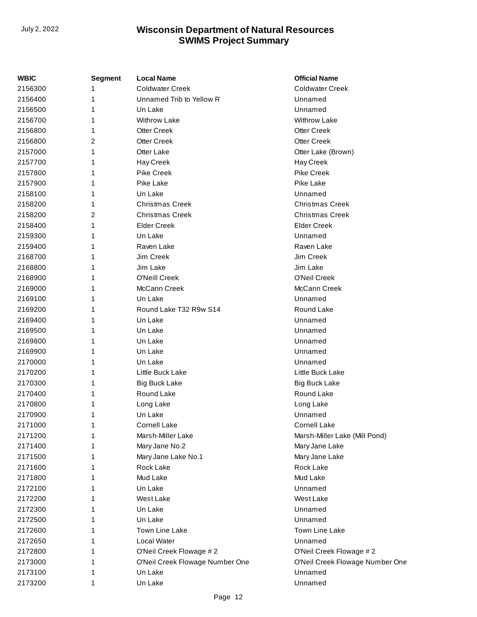| <b>WBIC</b>        | <b>Segment</b> | <b>Local Name</b>               | <b>Official Name</b>                       |
|--------------------|----------------|---------------------------------|--------------------------------------------|
| 2156300            |                | <b>Coldwater Creek</b>          | <b>Coldwater Creek</b>                     |
| 2156400            | 1              | Unnamed Trib to Yellow R        | Unnamed                                    |
| 2156500            | 1              | Un Lake                         | Unnamed                                    |
| 2156700            | 1              | <b>Withrow Lake</b>             | <b>Withrow Lake</b>                        |
| 2156800            | 1              | <b>Otter Creek</b>              | <b>Otter Creek</b>                         |
| 2156800            | 2              | <b>Otter Creek</b>              | <b>Otter Creek</b>                         |
| 2157000            | 1              | Otter Lake                      | Otter Lake (Brown)                         |
| 2157700            | 1              | Hay Creek                       | Hay Creek                                  |
| 2157800            | 1              | <b>Pike Creek</b>               | <b>Pike Creek</b>                          |
| 2157900            | 1              | Pike Lake                       | Pike Lake                                  |
| 2158100            | 1              | Un Lake                         | Unnamed                                    |
| 2158200            | 1              | <b>Christmas Creek</b>          | <b>Christmas Creek</b>                     |
| 2158200            | 2              | <b>Christmas Creek</b>          | <b>Christmas Creek</b>                     |
| 2158400            | 1              | <b>Elder Creek</b>              | <b>Elder Creek</b>                         |
| 2159300            | 1              | Un Lake                         | Unnamed                                    |
| 2159400            | 1              | Raven Lake                      | Raven Lake                                 |
| 2168700            | 1              | Jim Creek                       | Jim Creek                                  |
| 2168800            | 1              | Jim Lake                        | Jim Lake                                   |
| 2168900            | 1              | O'Neill Creek                   | O'Neil Creek                               |
| 2169000            | 1              | McCann Creek                    | McCann Creek                               |
| 2169100            | 1              | Un Lake                         | Unnamed                                    |
| 2169200            | 1              | Round Lake T32 R9w S14          | Round Lake                                 |
| 2169400            | 1              | Un Lake                         | Unnamed                                    |
| 2169500            | 1              | Un Lake                         | Unnamed                                    |
| 2169800            | 1              | Un Lake                         | Unnamed                                    |
| 2169900            | 1              | Un Lake                         | Unnamed                                    |
| 2170000            | 1              | Un Lake                         | Unnamed                                    |
| 2170200            | 1              | Little Buck Lake                | Little Buck Lake                           |
| 2170300            | 1              | Big Buck Lake                   | Big Buck Lake                              |
| 2170400            | 1              | Round Lake                      | Round Lake                                 |
| 2170800            | 1              | Long Lake                       | Long Lake                                  |
| 2170900            | 1              | Un Lake                         | Unnamed                                    |
| 2171000            | 1              | <b>Cornell Lake</b>             | <b>Cornell Lake</b>                        |
| 2171200            | 1              | Marsh-Miller Lake               | Marsh-Miller Lake (Mill Pond)              |
| 2171400            | 1              | Mary Jane No.2                  | Mary Jane Lake                             |
| 2171500            | 1              | Mary Jane Lake No.1             | Mary Jane Lake                             |
| 2171600            | 1              | Rock Lake                       | Rock Lake                                  |
| 2171800            | 1              | Mud Lake                        | Mud Lake                                   |
| 2172100            | 1              | Un Lake                         | Unnamed                                    |
| 2172200            | 1              | West Lake                       | West Lake                                  |
| 2172300            | 1              | Un Lake                         | Unnamed                                    |
| 2172500            | 1              | Un Lake                         | Unnamed                                    |
| 2172600            | 1              | Town Line Lake                  | Town Line Lake                             |
| 2172650            | 1              | Local Water                     | Unnamed                                    |
| 2172800            | 1              | O'Neil Creek Flowage #2         | O'Neil Creek Flowage #2                    |
|                    | 1              | O'Neil Creek Flowage Number One |                                            |
| 2173000<br>2173100 |                | Un Lake                         | O'Neil Creek Flowage Number One<br>Unnamed |
|                    | 1              |                                 |                                            |
| 2173200            | 1              | Un Lake                         | Unnamed                                    |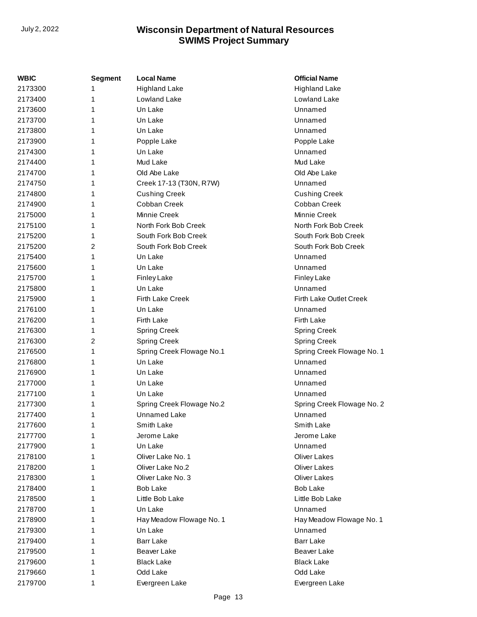| WBIC    | <b>Segment</b> | <b>Local Name</b>         | <b>Official Name</b>       |
|---------|----------------|---------------------------|----------------------------|
| 2173300 | 1              | <b>Highland Lake</b>      | <b>Highland Lake</b>       |
| 2173400 | 1              | Lowland Lake              | Lowland Lake               |
| 2173600 | 1              | Un Lake                   | Unnamed                    |
| 2173700 | 1              | Un Lake                   | Unnamed                    |
| 2173800 | 1              | Un Lake                   | Unnamed                    |
| 2173900 | 1              | Popple Lake               | Popple Lake                |
| 2174300 | 1              | Un Lake                   | Unnamed                    |
| 2174400 | 1              | Mud Lake                  | Mud Lake                   |
| 2174700 | 1              | Old Abe Lake              | Old Abe Lake               |
| 2174750 | 1              | Creek 17-13 (T30N, R7W)   | Unnamed                    |
| 2174800 | 1              | <b>Cushing Creek</b>      | <b>Cushing Creek</b>       |
| 2174900 | 1              | Cobban Creek              | Cobban Creek               |
| 2175000 | 1              | Minnie Creek              | Minnie Creek               |
| 2175100 | 1              | North Fork Bob Creek      | North Fork Bob Creek       |
| 2175200 | 1              | South Fork Bob Creek      | South Fork Bob Creek       |
| 2175200 | 2              | South Fork Bob Creek      | South Fork Bob Creek       |
| 2175400 | 1              | Un Lake                   | Unnamed                    |
| 2175600 | 1              | Un Lake                   | Unnamed                    |
| 2175700 | 1              | <b>Finley Lake</b>        | <b>Finley Lake</b>         |
| 2175800 | 1              | Un Lake                   | Unnamed                    |
| 2175900 | 1              | <b>Firth Lake Creek</b>   | Firth Lake Outlet Creek    |
| 2176100 | 1              | Un Lake                   | Unnamed                    |
| 2176200 | 1              | Firth Lake                | Firth Lake                 |
| 2176300 | 1              | <b>Spring Creek</b>       | <b>Spring Creek</b>        |
| 2176300 | 2              | <b>Spring Creek</b>       | <b>Spring Creek</b>        |
| 2176500 | 1              | Spring Creek Flowage No.1 | Spring Creek Flowage No. 1 |
| 2176800 | 1              | Un Lake                   | Unnamed                    |
| 2176900 | 1              | Un Lake                   | Unnamed                    |
| 2177000 | 1              | Un Lake                   | Unnamed                    |
| 2177100 | 1              | Un Lake                   | Unnamed                    |
| 2177300 | 1              | Spring Creek Flowage No.2 | Spring Creek Flowage No. 2 |
| 2177400 | 1              | <b>Unnamed Lake</b>       | Unnamed                    |
| 2177600 | 1              | Smith Lake                | Smith Lake                 |
| 2177700 | 1              | Jerome Lake               | Jerome Lake                |
| 2177900 |                | Un Lake                   | Unnamed                    |
| 2178100 | 1              | Oliver Lake No. 1         | <b>Oliver Lakes</b>        |
| 2178200 | 1              | Oliver Lake No.2          | <b>Oliver Lakes</b>        |
| 2178300 | 1              | Oliver Lake No. 3         | <b>Oliver Lakes</b>        |
| 2178400 | 1              | <b>Bob Lake</b>           | <b>Bob Lake</b>            |
| 2178500 | 1              | Little Bob Lake           | Little Bob Lake            |
| 2178700 | 1              | Un Lake                   | Unnamed                    |
| 2178900 | 1              | Hay Meadow Flowage No. 1  | Hay Meadow Flowage No. 1   |
| 2179300 | 1              | Un Lake                   | Unnamed                    |
| 2179400 | 1              | <b>Barr Lake</b>          | <b>Barr Lake</b>           |
| 2179500 | 1              | Beaver Lake               | Beaver Lake                |
| 2179600 | 1              | <b>Black Lake</b>         | <b>Black Lake</b>          |
| 2179660 | 1              | Odd Lake                  | Odd Lake                   |
| 2179700 | 1              | Evergreen Lake            | Evergreen Lake             |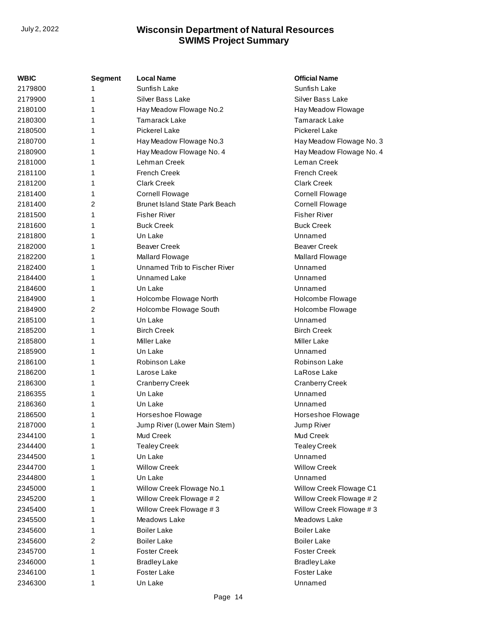| WBIC    | Segment | <b>Local Name</b>              | <b>Official Name</b>     |
|---------|---------|--------------------------------|--------------------------|
| 2179800 | 1       | Sunfish Lake                   | Sunfish Lake             |
| 2179900 | 1       | Silver Bass Lake               | Silver Bass Lake         |
| 2180100 | 1       | Hay Meadow Flowage No.2        | Hay Meadow Flowage       |
| 2180300 | 1       | <b>Tamarack Lake</b>           | <b>Tamarack Lake</b>     |
| 2180500 | 1       | <b>Pickerel Lake</b>           | <b>Pickerel Lake</b>     |
| 2180700 | 1       | Hay Meadow Flowage No.3        | Hay Meadow Flowage No. 3 |
| 2180900 | 1       | Hay Meadow Flowage No. 4       | Hay Meadow Flowage No. 4 |
| 2181000 | 1       | Lehman Creek                   | Leman Creek              |
| 2181100 | 1       | <b>French Creek</b>            | <b>French Creek</b>      |
| 2181200 | 1       | <b>Clark Creek</b>             | <b>Clark Creek</b>       |
| 2181400 | 1       | <b>Cornell Flowage</b>         | <b>Cornell Flowage</b>   |
| 2181400 | 2       | Brunet Island State Park Beach | <b>Cornell Flowage</b>   |
| 2181500 | 1       | <b>Fisher River</b>            | <b>Fisher River</b>      |
| 2181600 | 1       | <b>Buck Creek</b>              | <b>Buck Creek</b>        |
| 2181800 | 1       | Un Lake                        | Unnamed                  |
| 2182000 | 1       | <b>Beaver Creek</b>            | <b>Beaver Creek</b>      |
| 2182200 | 1       | Mallard Flowage                | Mallard Flowage          |
| 2182400 | 1       | Unnamed Trib to Fischer River  | Unnamed                  |
| 2184400 | 1       | Unnamed Lake                   | Unnamed                  |
| 2184600 | 1       | Un Lake                        | Unnamed                  |
| 2184900 | 1       | Holcombe Flowage North         | Holcombe Flowage         |
| 2184900 | 2       | Holcombe Flowage South         | Holcombe Flowage         |
| 2185100 | 1       | Un Lake                        | Unnamed                  |
| 2185200 | 1       | <b>Birch Creek</b>             | <b>Birch Creek</b>       |
| 2185800 | 1       | <b>Miller Lake</b>             | Miller Lake              |
| 2185900 | 1       | Un Lake                        | Unnamed                  |
| 2186100 | 1       | Robinson Lake                  | Robinson Lake            |
| 2186200 | 1       | Larose Lake                    | LaRose Lake              |
| 2186300 | 1       | <b>Cranberry Creek</b>         | <b>Cranberry Creek</b>   |
| 2186355 | 1       | Un Lake                        | Unnamed                  |
| 2186360 | 1       | Un Lake                        | Unnamed                  |
| 2186500 | 1       | Horseshoe Flowage              | Horseshoe Flowage        |
| 2187000 | 1       | Jump River (Lower Main Stem)   | Jump River               |
| 2344100 | 1       | Mud Creek                      | Mud Creek                |
| 2344400 | 1       | <b>Tealey Creek</b>            | <b>Tealey Creek</b>      |
| 2344500 | 1       | Un Lake                        | Unnamed                  |
| 2344700 | 1       | <b>Willow Creek</b>            | <b>Willow Creek</b>      |
| 2344800 | 1       | Un Lake                        | Unnamed                  |
| 2345000 | 1       | Willow Creek Flowage No.1      | Willow Creek Flowage C1  |
| 2345200 | 1       | Willow Creek Flowage #2        | Willow Creek Flowage #2  |
| 2345400 | 1       | Willow Creek Flowage #3        | Willow Creek Flowage #3  |
| 2345500 | 1       | Meadows Lake                   | Meadows Lake             |
| 2345600 | 1       | <b>Boiler Lake</b>             | <b>Boiler Lake</b>       |
| 2345600 | 2       | <b>Boiler Lake</b>             | <b>Boiler Lake</b>       |
| 2345700 | 1       | <b>Foster Creek</b>            | <b>Foster Creek</b>      |
| 2346000 | 1       | <b>Bradley Lake</b>            | <b>Bradley Lake</b>      |
| 2346100 | 1       | Foster Lake                    | Foster Lake              |
| 2346300 | 1       | Un Lake                        | Unnamed                  |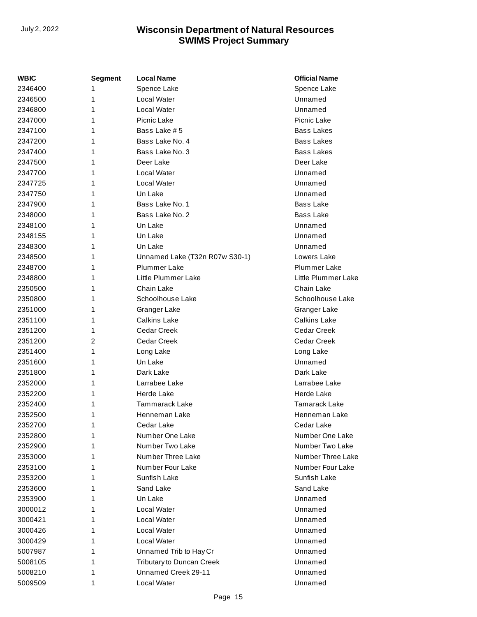| WBIC    | <b>Segment</b> | <b>Local Name</b>              | <b>Official Name</b> |
|---------|----------------|--------------------------------|----------------------|
| 2346400 | 1              | Spence Lake                    | Spence Lake          |
| 2346500 | 1              | Local Water                    | Unnamed              |
| 2346800 | 1              | Local Water                    | Unnamed              |
| 2347000 | 1              | Picnic Lake                    | Picnic Lake          |
| 2347100 | 1              | Bass Lake #5                   | <b>Bass Lakes</b>    |
| 2347200 | 1              | Bass Lake No. 4                | Bass Lakes           |
| 2347400 | 1              | Bass Lake No. 3                | <b>Bass Lakes</b>    |
| 2347500 | 1              | Deer Lake                      | Deer Lake            |
| 2347700 | 1              | Local Water                    | Unnamed              |
| 2347725 | 1              | Local Water                    | Unnamed              |
| 2347750 | 1              | Un Lake                        | Unnamed              |
| 2347900 | 1              | Bass Lake No. 1                | Bass Lake            |
| 2348000 | 1              | Bass Lake No. 2                | Bass Lake            |
| 2348100 | 1              | Un Lake                        | Unnamed              |
| 2348155 | 1              | Un Lake                        | Unnamed              |
| 2348300 | 1              | Un Lake                        | Unnamed              |
| 2348500 | 1              | Unnamed Lake (T32n R07w S30-1) | Lowers Lake          |
| 2348700 | 1              | Plummer Lake                   | <b>Plummer Lake</b>  |
| 2348800 | 1              | Little Plummer Lake            | Little Plummer Lake  |
| 2350500 | 1              | Chain Lake                     | Chain Lake           |
| 2350800 | 1              | Schoolhouse Lake               | Schoolhouse Lake     |
| 2351000 | 1              | Granger Lake                   | Granger Lake         |
| 2351100 | 1              | <b>Calkins Lake</b>            | <b>Calkins Lake</b>  |
| 2351200 | 1              | Cedar Creek                    | Cedar Creek          |
| 2351200 | 2              | Cedar Creek                    | <b>Cedar Creek</b>   |
| 2351400 | 1              | Long Lake                      | Long Lake            |
| 2351600 | 1              | Un Lake                        | Unnamed              |
| 2351800 | 1              | Dark Lake                      | Dark Lake            |
| 2352000 | 1              | Larrabee Lake                  | Larrabee Lake        |
| 2352200 | 1              | <b>Herde Lake</b>              | Herde Lake           |
| 2352400 | 1              | <b>Tammarack Lake</b>          | Tamarack Lake        |
| 2352500 | 1              | Henneman Lake                  | Henneman Lake        |
| 2352700 | 1              | Cedar Lake                     | Cedar Lake           |
| 2352800 | 1              | Number One Lake                | Number One Lake      |
| 2352900 | 1              | Number Two Lake                | Number Two Lake      |
| 2353000 | 1              | Number Three Lake              | Number Three Lake    |
| 2353100 | 1              | Number Four Lake               | Number Four Lake     |
| 2353200 | 1              | Sunfish Lake                   | Sunfish Lake         |
| 2353600 | 1              | Sand Lake                      | Sand Lake            |
| 2353900 | 1              | Un Lake                        | Unnamed              |
| 3000012 | 1              | Local Water                    | Unnamed              |
| 3000421 | 1              | Local Water                    | Unnamed              |
| 3000426 | 1              | Local Water                    | Unnamed              |
| 3000429 | 1              | Local Water                    | Unnamed              |
| 5007987 | 1              | Unnamed Trib to Hay Cr         | Unnamed              |
| 5008105 | 1              | Tributary to Duncan Creek      | Unnamed              |
| 5008210 | 1              | Unnamed Creek 29-11            | Unnamed              |
| 5009509 | 1              | Local Water                    | Unnamed              |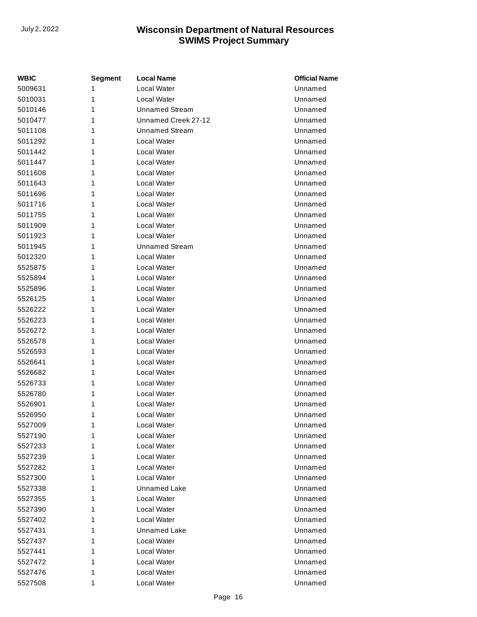| WBIC    | <b>Segment</b> | <b>Local Name</b>     | <b>Official Name</b> |
|---------|----------------|-----------------------|----------------------|
| 5009631 | 1              | <b>Local Water</b>    | Unnamed              |
| 5010031 | 1              | Local Water           | Unnamed              |
| 5010146 | 1              | <b>Unnamed Stream</b> | Unnamed              |
| 5010477 | 1              | Unnamed Creek 27-12   | Unnamed              |
| 5011108 | 1              | <b>Unnamed Stream</b> | Unnamed              |
| 5011292 | 1              | <b>Local Water</b>    | Unnamed              |
| 5011442 | 1              | <b>Local Water</b>    | Unnamed              |
| 5011447 | 1              | Local Water           | Unnamed              |
| 5011608 | 1              | Local Water           | Unnamed              |
| 5011643 | 1              | Local Water           | Unnamed              |
| 5011696 | 1              | Local Water           | Unnamed              |
| 5011716 | 1              | Local Water           | Unnamed              |
| 5011755 | 1              | Local Water           | Unnamed              |
| 5011909 | 1              | Local Water           | Unnamed              |
| 5011923 | 1              | Local Water           | Unnamed              |
| 5011945 | 1              | Unnamed Stream        | Unnamed              |
| 5012320 | 1              | Local Water           | Unnamed              |
| 5525875 | 1              | Local Water           | Unnamed              |
| 5525894 | 1              | Local Water           | Unnamed              |
| 5525896 | 1              | Local Water           | Unnamed              |
| 5526125 | 1              | Local Water           | Unnamed              |
| 5526222 | 1              | Local Water           | Unnamed              |
| 5526223 | 1              | Local Water           | Unnamed              |
| 5526272 | 1              | Local Water           | Unnamed              |
| 5526578 | 1              | Local Water           | Unnamed              |
| 5526593 | 1              | Local Water           | Unnamed              |
| 5526641 | 1              | Local Water           | Unnamed              |
| 5526682 | 1              | Local Water           | Unnamed              |
| 5526733 | 1              | Local Water           | Unnamed              |
| 5526780 | 1              | Local Water           | Unnamed              |
| 5526901 | 1              | <b>Local Water</b>    | Unnamed              |
| 5526950 | 1              | Local Water           | Unnamed              |
| 5527009 | 1              | Local Water           | Unnamed              |
| 5527190 | 1              | <b>Local Water</b>    | Unnamed              |
| 5527233 | 1              | <b>Local Water</b>    | Unnamed              |
| 5527239 | 1              | Local Water           | Unnamed              |
| 5527282 | 1              | Local Water           | Unnamed              |
| 5527300 | 1              | Local Water           | Unnamed              |
| 5527338 | 1              | Unnamed Lake          | Unnamed              |
| 5527355 | 1              | <b>Local Water</b>    | Unnamed              |
| 5527390 | 1              | Local Water           | Unnamed              |
| 5527402 | 1              | Local Water           | Unnamed              |
| 5527431 | 1              | Unnamed Lake          | Unnamed              |
| 5527437 | 1              | <b>Local Water</b>    | Unnamed              |
| 5527441 | 1              | <b>Local Water</b>    | Unnamed              |
| 5527472 | 1              | <b>Local Water</b>    | Unnamed              |
| 5527476 | 1              | <b>Local Water</b>    | Unnamed              |
| 5527508 | 1              | Local Water           | Unnamed              |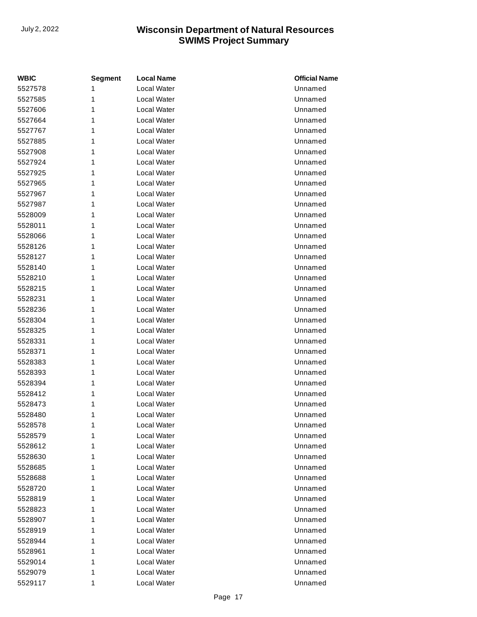| <b>WBIC</b> | <b>Segment</b> | <b>Local Name</b>  | <b>Official Name</b> |
|-------------|----------------|--------------------|----------------------|
| 5527578     | 1              | <b>Local Water</b> | Unnamed              |
| 5527585     | 1              | Local Water        | Unnamed              |
| 5527606     | 1              | Local Water        | Unnamed              |
| 5527664     | 1              | Local Water        | Unnamed              |
| 5527767     | 1              | Local Water        | Unnamed              |
| 5527885     | 1              | <b>Local Water</b> | Unnamed              |
| 5527908     | 1              | Local Water        | Unnamed              |
| 5527924     | 1              | Local Water        | Unnamed              |
| 5527925     | 1              | Local Water        | Unnamed              |
| 5527965     | 1              | Local Water        | Unnamed              |
| 5527967     | 1              | Local Water        | Unnamed              |
| 5527987     | 1              | Local Water        | Unnamed              |
| 5528009     | 1              | Local Water        | Unnamed              |
| 5528011     | 1              | <b>Local Water</b> | Unnamed              |
| 5528066     | 1              | Local Water        | Unnamed              |
| 5528126     | 1              | Local Water        | Unnamed              |
| 5528127     | 1              | Local Water        | Unnamed              |
| 5528140     | 1              | Local Water        | Unnamed              |
| 5528210     | 1              | Local Water        | Unnamed              |
| 5528215     | 1              | Local Water        | Unnamed              |
| 5528231     | 1              | Local Water        | Unnamed              |
| 5528236     | 1              | <b>Local Water</b> | Unnamed              |
| 5528304     | 1              | Local Water        | Unnamed              |
| 5528325     | 1              | Local Water        | Unnamed              |
| 5528331     | 1              | Local Water        | Unnamed              |
| 5528371     | 1              | Local Water        | Unnamed              |
| 5528383     | 1              | Local Water        | Unnamed              |
| 5528393     | 1              | Local Water        | Unnamed              |
| 5528394     | 1              | Local Water        | Unnamed              |
| 5528412     | 1              | Local Water        | Unnamed              |
| 5528473     | 1              | Local Water        | Unnamed              |
| 5528480     | 1              | Local Water        | Unnamed              |
| 5528578     | 1              | Local Water        | Unnamed              |
| 5528579     | 1              | Local Water        | Unnamed              |
| 5528612     | 1              | Local Water        | Unnamed              |
| 5528630     | 1              | Local Water        | Unnamed              |
| 5528685     | 1              | Local Water        | Unnamed              |
| 5528688     | 1              | Local Water        | Unnamed              |
| 5528720     | 1              | Local Water        | Unnamed              |
| 5528819     | 1              | Local Water        | Unnamed              |
| 5528823     | 1              | Local Water        | Unnamed              |
| 5528907     | 1              | Local Water        | Unnamed              |
| 5528919     | 1              | Local Water        | Unnamed              |
| 5528944     | 1              | Local Water        | Unnamed              |
| 5528961     | 1              | Local Water        | Unnamed              |
| 5529014     | 1              | Local Water        | Unnamed              |
| 5529079     | 1              | Local Water        | Unnamed              |
| 5529117     | 1              | Local Water        | Unnamed              |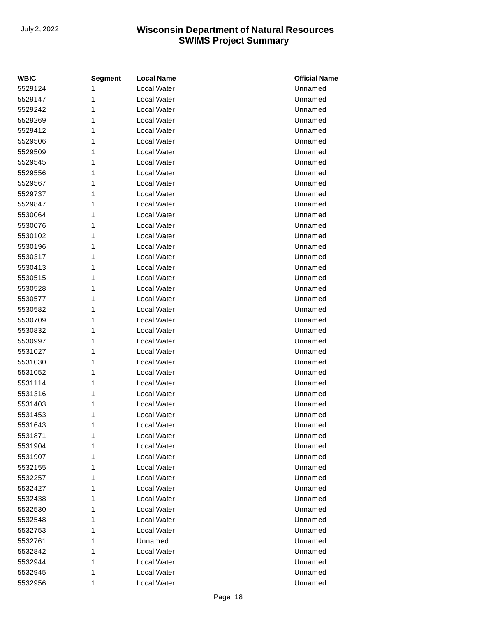| <b>WBIC</b> | <b>Segment</b> | <b>Local Name</b> | <b>Official Name</b> |
|-------------|----------------|-------------------|----------------------|
| 5529124     | 1              | Local Water       | Unnamed              |
| 5529147     | 1              | Local Water       | Unnamed              |
| 5529242     | 1              | Local Water       | Unnamed              |
| 5529269     | 1              | Local Water       | Unnamed              |
| 5529412     | 1              | Local Water       | Unnamed              |
| 5529506     | 1              | Local Water       | Unnamed              |
| 5529509     | 1              | Local Water       | Unnamed              |
| 5529545     | 1              | Local Water       | Unnamed              |
| 5529556     | 1              | Local Water       | Unnamed              |
| 5529567     | 1              | Local Water       | Unnamed              |
| 5529737     | 1              | Local Water       | Unnamed              |
| 5529847     | 1              | Local Water       | Unnamed              |
| 5530064     | 1              | Local Water       | Unnamed              |
| 5530076     | 1              | Local Water       | Unnamed              |
| 5530102     | 1              | Local Water       | Unnamed              |
| 5530196     | 1              | Local Water       | Unnamed              |
| 5530317     | 1              | Local Water       | Unnamed              |
| 5530413     | 1              | Local Water       | Unnamed              |
| 5530515     | 1              | Local Water       | Unnamed              |
| 5530528     | 1              | Local Water       | Unnamed              |
| 5530577     | 1              | Local Water       | Unnamed              |
| 5530582     | 1              | Local Water       | Unnamed              |
| 5530709     | 1              | Local Water       | Unnamed              |
| 5530832     | 1              | Local Water       | Unnamed              |
| 5530997     | 1              | Local Water       | Unnamed              |
| 5531027     | 1              | Local Water       | Unnamed              |
| 5531030     | 1              | Local Water       | Unnamed              |
| 5531052     | 1              | Local Water       | Unnamed              |
| 5531114     | 1              | Local Water       | Unnamed              |
| 5531316     | 1              | Local Water       | Unnamed              |
| 5531403     | 1              | Local Water       | Unnamed              |
| 5531453     | 1              | Local Water       | Unnamed              |
| 5531643     | 1              | Local Water       | Unnamed              |
| 5531871     | 1              | Local Water       | Unnamed              |
| 5531904     | 1              | Local Water       | Unnamed              |
| 5531907     | 1              | Local Water       | Unnamed              |
| 5532155     | 1              | Local Water       | Unnamed              |
| 5532257     | 1              | Local Water       | Unnamed              |
| 5532427     | 1              | Local Water       | Unnamed              |
| 5532438     | 1              | Local Water       | Unnamed              |
| 5532530     | 1              | Local Water       | Unnamed              |
| 5532548     | 1              | Local Water       | Unnamed              |
| 5532753     | 1              | Local Water       | Unnamed              |
| 5532761     | 1              | Unnamed           | Unnamed              |
| 5532842     | 1              | Local Water       | Unnamed              |
| 5532944     | 1              | Local Water       | Unnamed              |
| 5532945     | 1              | Local Water       | Unnamed              |
| 5532956     | 1              | Local Water       | Unnamed              |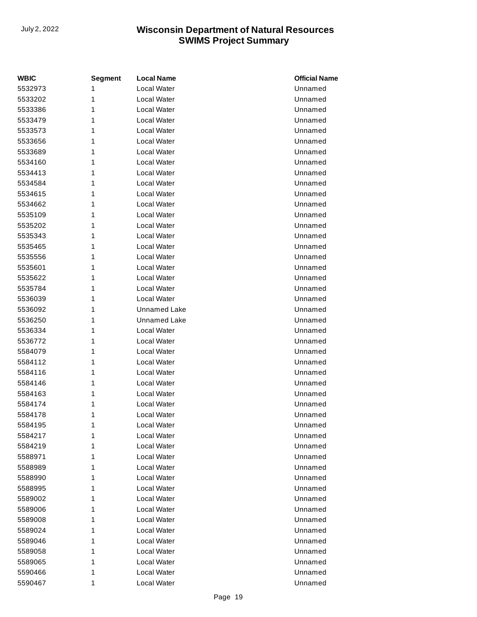| <b>WBIC</b> | <b>Segment</b> | <b>Local Name</b>   | <b>Official Name</b> |
|-------------|----------------|---------------------|----------------------|
| 5532973     | 1              | Local Water         | Unnamed              |
| 5533202     | 1              | Local Water         | Unnamed              |
| 5533386     | 1              | Local Water         | Unnamed              |
| 5533479     | 1              | Local Water         | Unnamed              |
| 5533573     | 1              | Local Water         | Unnamed              |
| 5533656     | 1              | Local Water         | Unnamed              |
| 5533689     | 1              | Local Water         | Unnamed              |
| 5534160     | 1              | Local Water         | Unnamed              |
| 5534413     | 1              | Local Water         | Unnamed              |
| 5534584     | 1              | Local Water         | Unnamed              |
| 5534615     | 1              | Local Water         | Unnamed              |
| 5534662     | 1              | Local Water         | Unnamed              |
| 5535109     | 1              | Local Water         | Unnamed              |
| 5535202     | 1              | Local Water         | Unnamed              |
| 5535343     | 1              | Local Water         | Unnamed              |
| 5535465     | 1              | Local Water         | Unnamed              |
| 5535556     | 1              | Local Water         | Unnamed              |
| 5535601     | 1              | Local Water         | Unnamed              |
| 5535622     | 1              | Local Water         | Unnamed              |
| 5535784     | 1              | Local Water         | Unnamed              |
| 5536039     | 1              | Local Water         | Unnamed              |
| 5536092     | 1              | <b>Unnamed Lake</b> | Unnamed              |
| 5536250     | 1              | <b>Unnamed Lake</b> | Unnamed              |
| 5536334     | 1              | Local Water         | Unnamed              |
| 5536772     | 1              | Local Water         | Unnamed              |
| 5584079     | 1              | Local Water         | Unnamed              |
| 5584112     | 1              | Local Water         | Unnamed              |
| 5584116     | 1              | Local Water         | Unnamed              |
| 5584146     | 1              | Local Water         | Unnamed              |
| 5584163     | 1              | Local Water         | Unnamed              |
| 5584174     | 1              | Local Water         | Unnamed              |
| 5584178     | 1              | Local Water         | Unnamed              |
| 5584195     | 1              | Local Water         | Unnamed              |
| 5584217     | 1              | Local Water         | Unnamed              |
| 5584219     | 1              | Local Water         | Unnamed              |
| 5588971     | 1              | Local Water         | Unnamed              |
| 5588989     | 1              | Local Water         | Unnamed              |
| 5588990     | 1              | Local Water         | Unnamed              |
| 5588995     | 1              | Local Water         | Unnamed              |
| 5589002     | 1              | Local Water         | Unnamed              |
| 5589006     | 1              | Local Water         | Unnamed              |
| 5589008     | 1              | Local Water         | Unnamed              |
| 5589024     | 1              | Local Water         | Unnamed              |
| 5589046     | 1              | Local Water         | Unnamed              |
| 5589058     | 1              | Local Water         | Unnamed              |
| 5589065     | 1              | Local Water         | Unnamed              |
| 5590466     | 1              | Local Water         | Unnamed              |
| 5590467     | 1              | Local Water         | Unnamed              |